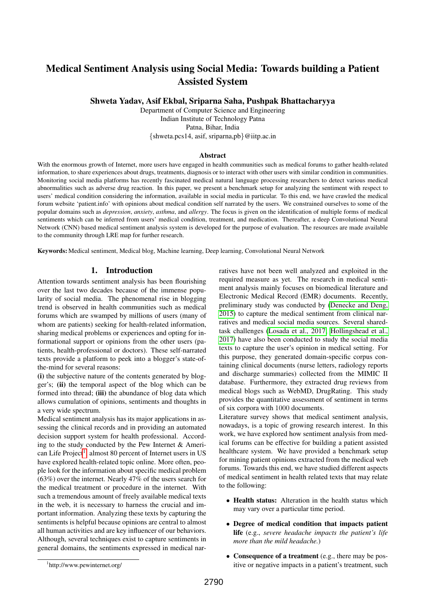# Medical Sentiment Analysis using Social Media: Towards building a Patient Assisted System

Shweta Yadav, Asif Ekbal, Sriparna Saha, Pushpak Bhattacharyya

Department of Computer Science and Engineering Indian Institute of Technology Patna Patna, Bihar, India {shweta.pcs14, asif, sriparna,pb}@iitp.ac.in

## **Abstract**

With the enormous growth of Internet, more users have engaged in health communities such as medical forums to gather health-related information, to share experiences about drugs, treatments, diagnosis or to interact with other users with similar condition in communities. Monitoring social media platforms has recently fascinated medical natural language processing researchers to detect various medical abnormalities such as adverse drug reaction. In this paper, we present a benchmark setup for analyzing the sentiment with respect to users' medical condition considering the information, available in social media in particular. To this end, we have crawled the medical forum website 'patient.info' with opinions about medical condition self narrated by the users. We constrained ourselves to some of the popular domains such as *depression*, *anxiety*, *asthma*, and *allergy*. The focus is given on the identification of multiple forms of medical sentiments which can be inferred from users' medical condition, treatment, and medication. Thereafter, a deep Convolutional Neural Network (CNN) based medical sentiment analysis system is developed for the purpose of evaluation. The resources are made available to the community through LRE map for further research.

Keywords: Medical sentiment, Medical blog, Machine learning, Deep learning, Convolutional Neural Network

## 1. Introduction

Attention towards sentiment analysis has been flourishing over the last two decades because of the immense popularity of social media. The phenomenal rise in blogging trend is observed in health communities such as medical forums which are swamped by millions of users (many of whom are patients) seeking for health-related information, sharing medical problems or experiences and opting for informational support or opinions from the other users (patients, health-professional or doctors). These self-narrated texts provide a platform to peek into a blogger's state-ofthe-mind for several reasons:

(i) the subjective nature of the contents generated by blogger's; (ii) the temporal aspect of the blog which can be formed into thread; (iii) the abundance of blog data which allows cumulation of opinions, sentiments and thoughts in a very wide spectrum.

Medical sentiment analysis has its major applications in assessing the clinical records and in providing an automated decision support system for health professional. According to the study conducted by the Pew Internet & Ameri-can Life Project<sup>[1](#page-0-0)</sup>, almost 80 percent of Internet users in US have explored health-related topic online. More often, people look for the information about specific medical problem (63%) over the internet. Nearly 47% of the users search for the medical treatment or procedure in the internet. With such a tremendous amount of freely available medical texts in the web, it is necessary to harness the crucial and important information. Analyzing these texts by capturing the sentiments is helpful because opinions are central to almost all human activities and are key influencer of our behaviors. Although, several techniques exist to capture sentiments in general domains, the sentiments expressed in medical narratives have not been well analyzed and exploited in the required measure as yet. The research in medical sentiment analysis mainly focuses on biomedical literature and Electronic Medical Record (EMR) documents. Recently, preliminary study was conducted by [\(Denecke and Deng,](#page-6-0) [2015\)](#page-6-0) to capture the medical sentiment from clinical narratives and medical social media sources. Several sharedtask challenges [\(Losada et al., 2017;](#page-6-1) [Hollingshead et al.,](#page-6-2) [2017\)](#page-6-2) have also been conducted to study the social media texts to capture the user's opinion in medical setting. For this purpose, they generated domain-specific corpus containing clinical documents (nurse letters, radiology reports and discharge summaries) collected from the MIMIC II database. Furthermore, they extracted drug reviews from medical blogs such as WebMD, DrugRating. This study provides the quantitative assessment of sentiment in terms of six corpora with 1000 documents.

Literature survey shows that medical sentiment analysis, nowadays, is a topic of growing research interest. In this work, we have explored how sentiment analysis from medical forums can be effective for building a patient assisted healthcare system. We have provided a benchmark setup for mining patient opinions extracted from the medical web forums. Towards this end, we have studied different aspects of medical sentiment in health related texts that may relate to the following:

- Health status: Alteration in the health status which may vary over a particular time period.
- Degree of medical condition that impacts patient life (e.g., *severe headache impacts the patient's life more than the mild headache.*)
- Consequence of a treatment (e.g., there may be positive or negative impacts in a patient's treatment, such

<span id="page-0-0"></span><sup>1</sup> http://www.pewinternet.org/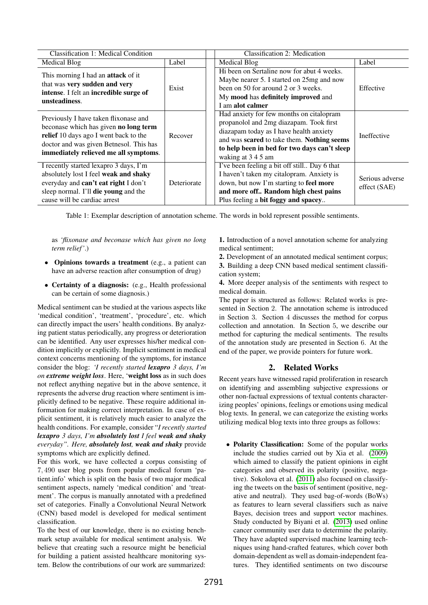<span id="page-1-0"></span>

| Classification 1: Medical Condition                                                                                                                                                                         |             | <b>Classification 2: Medication</b>                                                                                                                                                                                                                |                                 |
|-------------------------------------------------------------------------------------------------------------------------------------------------------------------------------------------------------------|-------------|----------------------------------------------------------------------------------------------------------------------------------------------------------------------------------------------------------------------------------------------------|---------------------------------|
| <b>Medical Blog</b>                                                                                                                                                                                         | Label       | Medical Blog                                                                                                                                                                                                                                       | Label                           |
| This morning I had an attack of it<br>that was very sudden and very<br>intense. I felt an incredible surge of<br>unsteadiness.                                                                              | Exist       | Hi been on Sertaline now for abut 4 weeks.<br>Maybe nearer 5. I started on 25mg and now<br>been on 50 for around 2 or 3 weeks.<br>My mood has definitely improved and<br>I am alot calmer                                                          | Effective                       |
| Previously I have taken flixonase and<br>beconase which has given no long term<br>relief 10 days ago I went back to the<br>doctor and was given Betnesol. This has<br>immediately relieved me all symptoms. | Recover     | Had anxiety for few months on citalopram<br>propanolol and 2mg diazapam. Took first<br>diazapam today as I have health anxiety<br>and was scared to take them. Nothing seems<br>to help been in bed for two days can't sleep<br>waking at 3 4 5 am | Ineffective                     |
| I recently started lexapro 3 days, I'm<br>absolutely lost I feel weak and shaky<br>everyday and can't eat right I don't<br>sleep normal. I'll die young and the<br>cause will be cardiac arrest             | Deteriorate | I've been feeling a bit off still Day 6 that<br>I haven't taken my citalopram. Anxiety is<br>down, but now I'm starting to feel more<br>and more off Random high chest pains<br>Plus feeling a bit foggy and spacey                                | Serious adverse<br>effect (SAE) |

Table 1: Exemplar description of annotation scheme. The words in bold represent possible sentiments.

as *'flixonase and beconase which has given no long term relief '*.)

- Opinions towards a treatment (e.g., a patient can have an adverse reaction after consumption of drug)
- Certainty of a diagnosis: (e.g., Health professional can be certain of some diagnosis.)

Medical sentiment can be studied at the various aspects like 'medical condition', 'treatment', 'procedure', etc. which can directly impact the users' health conditions. By analyzing patient status periodically, any progress or deterioration can be identified. Any user expresses his/her medical condition implicitly or explicitly. Implicit sentiment in medical context concerns mentioning of the symptoms, for instance consider the blog: *'I recently started lexapro 3 days, I'm on extreme weight loss*. Here, 'weight loss as in such does not reflect anything negative but in the above sentence, it represents the adverse drug reaction where sentiment is implicitly defined to be negative. These require additional information for making correct interpretation. In case of explicit sentiment, it is relatively much easier to analyze the health conditions. For example, consider "*I recently started lexapro 3 days, I'm absolutely lost I feel weak and shaky everyday". Here, absolutely lost, weak and shaky* provide symptoms which are explicitly defined.

For this work, we have collected a corpus consisting of 7, 490 user blog posts from popular medical forum 'patient.info' which is split on the basis of two major medical sentiment aspects, namely 'medical condition' and 'treatment'. The corpus is manually annotated with a predefined set of categories. Finally a Convolutional Neural Network (CNN) based model is developed for medical sentiment classification.

To the best of our knowledge, there is no existing benchmark setup available for medical sentiment analysis. We believe that creating such a resource might be beneficial for building a patient assisted healthcare monitoring system. Below the contributions of our work are summarized:

1. Introduction of a novel annotation scheme for analyzing medical sentiment;

2. Development of an annotated medical sentiment corpus; 3. Building a deep CNN based medical sentiment classification system;

4. More deeper analysis of the sentiments with respect to medical domain.

The paper is structured as follows: Related works is presented in Section 2. The annotation scheme is introduced in Section 3. Section 4 discusses the method for corpus collection and annotation. In Section 5, we describe our method for capturing the medical sentiments. The results of the annotation study are presented in Section 6. At the end of the paper, we provide pointers for future work.

# 2. Related Works

Recent years have witnessed rapid proliferation in research on identifying and assembling subjective expressions or other non-factual expressions of textual contents characterizing peoples' opinions, feelings or emotions using medical blog texts. In general, we can categorize the existing works utilizing medical blog texts into three groups as follows:

• Polarity Classification: Some of the popular works include the studies carried out by Xia et al. [\(2009\)](#page-7-0) which aimed to classify the patient opinions in eight categories and observed its polarity (positive, negative). Sokolova et al. [\(2011\)](#page-6-3) also focused on classifying the tweets on the basis of sentiment (positive, negative and neutral). They used bag-of-words (BoWs) as features to learn several classifiers such as naive Bayes, decision trees and support vector machines. Study conducted by Biyani et al. [\(2013\)](#page-6-4) used online cancer community user data to determine the polarity. They have adapted supervised machine learning techniques using hand-crafted features, which cover both domain-dependent as well as domain-independent features. They identified sentiments on two discourse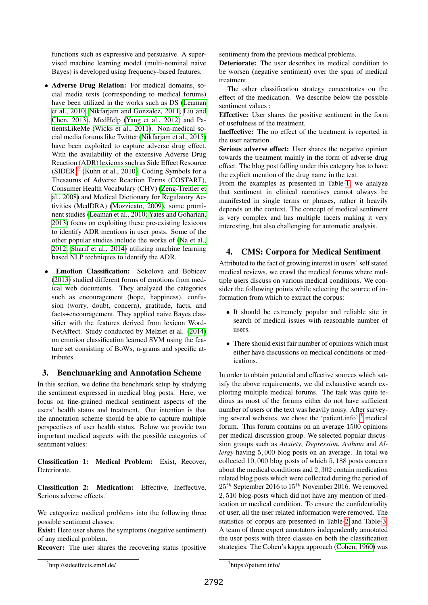functions such as expressive and persuasive. A supervised machine learning model (multi-nominal naive Bayes) is developed using frequency-based features.

- Adverse Drug Relation: For medical domains, social media texts (corresponding to medical forums) have been utilized in the works such as DS [\(Leaman](#page-6-5) [et al., 2010;](#page-6-5) [Nikfarjam and Gonzalez, 2011;](#page-6-6) [Liu and](#page-6-7) [Chen, 2013\)](#page-6-7), MedHelp [\(Yang et al., 2012\)](#page-7-1) and PatientsLikeMe [\(Wicks et al., 2011\)](#page-6-8). Non-medical social media forums like Twitter [\(Nikfarjam et al., 2015\)](#page-6-9) have been exploited to capture adverse drug effect. With the availability of the extensive Adverse Drug Reaction (ADR) lexicons such as Side Effect Resource  $(SIDER)^2$  $(SIDER)^2$  [\(Kuhn et al., 2010\)](#page-6-10), Coding Symbols for a Thesaurus of Adverse Reaction Terms (COSTART), Consumer Health Vocabulary (CHV) [\(Zeng-Treitler et](#page-7-2) [al., 2008\)](#page-7-2) and Medical Dictionary for Regulatory Activities (MedDRA) [\(Mozzicato, 2009\)](#page-6-11), some prominent studies [\(Leaman et al., 2010;](#page-6-5) [Yates and Goharian,](#page-7-3) [2013\)](#page-7-3) focus on exploiting these pre-existing lexicons to identify ADR mentions in user posts. Some of the other popular studies include the works of [\(Na et al.,](#page-6-12) [2012;](#page-6-12) [Sharif et al., 2014\)](#page-6-13) utilizing machine learning based NLP techniques to identify the ADR.
- **Emotion Classification:** Sokolova and Bobicev [\(2013\)](#page-6-14) studied different forms of emotions from medical web documents. They analyzed the categories such as encouragement (hope, happiness), confusion (worry, doubt, concern), gratitude, facts, and facts+encouragement. They applied naive Bayes classifier with the features derived from lexicon Word-NetAffect. Study conducted by Melziet et al. [\(2014\)](#page-6-15) on emotion classification learned SVM using the feature set consisting of BoWs, n-grams and specific attributes.

# 3. Benchmarking and Annotation Scheme

In this section, we define the benchmark setup by studying the sentiment expressed in medical blog posts. Here, we focus on fine-grained medical sentiment aspects of the users' health status and treatment. Our intention is that the annotation scheme should be able to capture multiple perspectives of user health status. Below we provide two important medical aspects with the possible categories of sentiment values:

Classification 1: Medical Problem: Exist, Recover, Deteriorate.

Classification 2: Medication: Effective, Ineffective, Serious adverse effects.

We categorize medical problems into the following three possible sentiment classes:

Exist: Here user shares the symptoms (negative sentiment) of any medical problem.

Recover: The user shares the recovering status (positive

sentiment) from the previous medical problems.

Deteriorate: The user describes its medical condition to be worsen (negative sentiment) over the span of medical treatment.

The other classification strategy concentrates on the effect of the medication. We describe below the possible sentiment values :

Effective: User shares the positive sentiment in the form of usefulness of the treatment.

Ineffective: The no effect of the treatment is reported in the user narration.

Serious adverse effect: User shares the negative opinion towards the treatment mainly in the form of adverse drug effect. The blog post falling under this category has to have the explicit mention of the drug name in the text.

From the examples as presented in Table[-1,](#page-1-0) we analyze that sentiment in clinical narratives cannot always be manifested in single terms or phrases, rather it heavily depends on the context. The concept of medical sentiment is very complex and has multiple facets making it very interesting, but also challenging for automatic analysis.

# 4. CMS: Corpora for Medical Sentiment

Attributed to the fact of growing interest in users' self stated medical reviews, we crawl the medical forums where multiple users discuss on various medical conditions. We consider the following points while selecting the source of information from which to extract the corpus:

- It should be extremely popular and reliable site in search of medical issues with reasonable number of users.
- There should exist fair number of opinions which must either have discussions on medical conditions or medications.

In order to obtain potential and effective sources which satisfy the above requirements, we did exhaustive search exploiting multiple medical forums. The task was quite tedious as most of the forums either do not have sufficient number of users or the text was heavily noisy. After surveying several websites, we chose the 'patient.info' [3](#page-2-1) medical forum. This forum contains on an average 1500 opinions per medical discussion group. We selected popular discussion groups such as *Anxiety*, *Depression*, *Asthma* and *Allergy* having 5, 000 blog posts on an average. In total we collected 10, 000 blog posts of which 5, 188 posts concern about the medical conditions and 2, 302 contain medication related blog posts which were collected during the period of  $25<sup>th</sup>$  September 2016 to  $15<sup>th</sup>$  November 2016. We removed 2, 510 blog-posts which did not have any mention of medication or medical condition. To ensure the confidentiality of user, all the user related information were removed. The statistics of corpus are presented in Table[-2](#page-3-0) and Table[-3.](#page-3-1) A team of three expert annotators independently annotated the user posts with three classes on both the classification strategies. The Cohen's kappa approach [\(Cohen, 1960\)](#page-6-16) was

<span id="page-2-0"></span><sup>2</sup> http://sideeffects.embl.de/

<span id="page-2-1"></span><sup>3</sup> https://patient.info/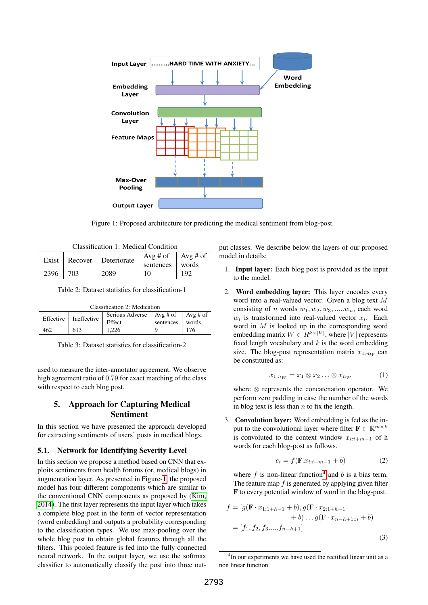<span id="page-3-2"></span>

Figure 1: Proposed architecture for predicting the medical sentiment from blog-post.

<span id="page-3-0"></span>

| Classification 1: Medical Condition |     |                       |                                     |       |
|-------------------------------------|-----|-----------------------|-------------------------------------|-------|
| Exist                               |     | Recover   Deteriorate | $Avg \# of$   Avg # of<br>sentences | words |
| 2396                                | 703 | 2089                  | 10                                  | 192   |

Table 2: Dataset statistics for classification-1

<span id="page-3-1"></span>

| Classification 2: Medication |               |                                       |           |       |
|------------------------------|---------------|---------------------------------------|-----------|-------|
| Effective                    | I Ineffective | Serious Adverse   Avg # of   Avg # of |           |       |
|                              |               | Effect                                | sentences | words |
| 462                          | 613           | 1.226                                 |           | 176   |

Table 3: Dataset statistics for classification-2

used to measure the inter-annotator agreement. We observe high agreement ratio of 0.79 for exact matching of the class with respect to each blog post.

# 5. Approach for Capturing Medical Sentiment

In this section we have presented the approach developed for extracting sentiments of users' posts in medical blogs.

#### 5.1. Network for Identifying Severity Level

In this section we propose a method based on CNN that exploits sentiments from health forums (or, medical blogs) in augmentation layer. As presented in Figure[-1,](#page-3-2) the proposed model has four different components which are similar to the conventional CNN components as proposed by [\(Kim,](#page-6-17) [2014\)](#page-6-17). The first layer represents the input layer which takes a complete blog post in the form of vector representation (word embedding) and outputs a probability corresponding to the classification types. We use max-pooling over the whole blog post to obtain global features through all the filters. This pooled feature is fed into the fully connected neural network. In the output layer, we use the softmax classifier to automatically classify the post into three output classes. We describe below the layers of our proposed model in details:

- 1. Input layer: Each blog post is provided as the input to the model.
- 2. Word embedding layer: This layer encodes every word into a real-valued vector. Given a blog text M consisting of n words  $w_1, w_2, w_3, \dots, w_n$ , each word  $w_i$  is transformed into real-valued vector  $x_i$ . Each word in  $M$  is looked up in the corresponding word embedding matrix  $W \in R^{k \times |V|}$ , where |V| represents fixed length vocabulary and  $k$  is the word embedding size. The blog-post representation matrix  $x_{1:n_W}$  can be constituted as:

$$
x_{1:n_W} = x_1 \otimes x_2 \dots \otimes x_{n_W} \tag{1}
$$

where ⊗ represents the concatenation operator. We perform zero padding in case the number of the words in blog text is less than  $n$  to fix the length.

3. Convolution layer: Word embedding is fed as the input to the convolutional layer where filter  $\mathbf{F} \in \mathbb{R}^{m \times k}$ is convoluted to the context window  $x_{i:i+m-1}$  of h words for each blog-post as follows.

$$
c_i = f(\mathbf{F}.x_{i:i+m-1} + b) \tag{2}
$$

where  $f$  is non-linear function<sup>[4](#page-3-3)</sup> and  $b$  is a bias term. The feature map  $f$  is generated by applying given filter F to every potential window of word in the blog-post.

$$
f = [g(\mathbf{F} \cdot x_{1:1+h-1} + b), g(\mathbf{F} \cdot x_{2:1+h-1} + b) \dots g(\mathbf{F} \cdot x_{n-h+1:n} + b)]
$$
  
=  $[f_1, f_2, f_3, \dots, f_{n-h+1}]$  (3)

<span id="page-3-3"></span><sup>&</sup>lt;sup>4</sup>In our experiments we have used the rectified linear unit as a non linear function.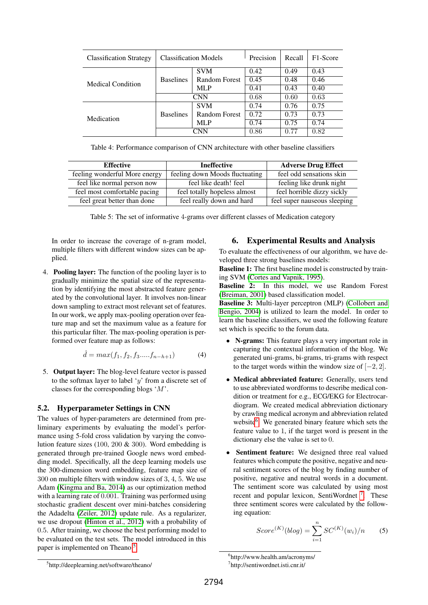<span id="page-4-3"></span>

| <b>Classification Strategy</b> | <b>Classification Models</b> |               | Precision | Recall | F <sub>1</sub> -Score |
|--------------------------------|------------------------------|---------------|-----------|--------|-----------------------|
| <b>Medical Condition</b>       | <b>Baselines</b>             | <b>SVM</b>    | 0.42      | 0.49   | 0.43                  |
|                                |                              | Random Forest | 0.45      | 0.48   | 0.46                  |
|                                |                              | <b>MLP</b>    | 0.41      | 0.43   | 0.40                  |
|                                | CNN                          |               | 0.68      | 0.60   | 0.63                  |
| Medication                     | <b>Baselines</b>             | <b>SVM</b>    | 0.74      | 0.76   | 0.75                  |
|                                |                              | Random Forest | 0.72      | 0.73   | 0.73                  |
|                                |                              | <b>MLP</b>    | 0.74      | 0.75   | 0.74                  |
|                                | CNN                          |               | 0.86      | 0.77   | 0.82                  |

Table 4: Performance comparison of CNN architecture with other baseline classifiers

<span id="page-4-4"></span>

| <b>Effective</b>              | <b>Ineffective</b>             | <b>Adverse Drug Effect</b>   |  |
|-------------------------------|--------------------------------|------------------------------|--|
| feeling wonderful More energy | feeling down Moods fluctuating | feel odd sensations skin     |  |
| feel like normal person now   | feel like death! feel          | feeling like drunk night     |  |
| feel most comfortable pacing  | feel totally hopeless almost   | feel horrible dizzy sickly   |  |
| feel great better than done   | feel really down and hard      | feel super nauseous sleeping |  |

Table 5: The set of informative 4-grams over different classes of Medication category

In order to increase the coverage of n-gram model, multiple filters with different window sizes can be applied.

4. Pooling layer: The function of the pooling layer is to gradually minimize the spatial size of the representation by identifying the most abstracted feature generated by the convolutional layer. It involves non-linear down sampling to extract most relevant set of features. In our work, we apply max-pooling operation over feature map and set the maximum value as a feature for this particular filter. The max-pooling operation is performed over feature map as follows:

$$
\hat{d} = max(f_1, f_2, f_3 \dots f_{n-h+1})
$$
 (4)

5. Output layer: The blog-level feature vector is passed to the softmax layer to label ' $y$ ' from a discrete set of classes for the corresponding blogs 'M'.

## 5.2. Hyperparameter Settings in CNN

The values of hyper-parameters are determined from preliminary experiments by evaluating the model's performance using 5-fold cross validation by varying the convolution feature sizes (100, 200 & 300). Word embedding is generated through pre-trained Google news word embedding model. Specifically, all the deep learning models use the 300-dimension word embedding, feature map size of 300 on multiple filters with window sizes of 3, 4, 5. We use Adam [\(Kingma and Ba, 2014\)](#page-6-18) as our optimization method with a learning rate of 0.001. Training was performed using stochastic gradient descent over mini-batches considering the Adadelta [\(Zeiler, 2012\)](#page-7-4) update rule. As a regularizer, we use dropout [\(Hinton et al., 2012\)](#page-6-19) with a probability of 0.5. After training, we choose the best performing model to be evaluated on the test sets. The model introduced in this paper is implemented on Theano<sup>[5](#page-4-0)</sup>.

# 6. Experimental Results and Analysis

To evaluate the effectiveness of our algorithm, we have developed three strong baselines models:

**Baseline 1:** The first baseline model is constructed by training SVM [\(Cortes and Vapnik, 1995\)](#page-6-20).

Baseline 2: In this model, we use Random Forest [\(Breiman, 2001\)](#page-6-21) based classification model.

Baseline 3: Multi-layer perceptron (MLP) [\(Collobert and](#page-6-22) [Bengio, 2004\)](#page-6-22) is utilized to learn the model. In order to learn the baseline classifiers, we used the following feature set which is specific to the forum data.

- N-grams: This feature plays a very important role in capturing the contextual information of the blog. We generated uni-grams, bi-grams, tri-grams with respect to the target words within the window size of  $[-2, 2]$ .
- Medical abbreviated feature: Generally, users tend to use abbreviated wordforms to describe medical condition or treatment for e.g., ECG/EKG for Electrocardiogram. We created medical abbreviation dictionary by crawling medical acronym and abbreviation related website<sup>[6](#page-4-1)</sup>. We generated binary feature which sets the feature value to 1, if the target word is present in the dictionary else the value is set to 0.
- Sentiment feature: We designed three real valued features which compute the positive, negative and neural sentiment scores of the blog by finding number of positive, negative and neutral words in a document. The sentiment score was calculated by using most recent and popular lexicon, SentiWordnet<sup>[7](#page-4-2)</sup>. These three sentiment scores were calculated by the following equation:

$$
Score^{(K)}(blog) = \sum_{i=1}^{n} SC^{(K)}(w_i)/n
$$
 (5)

<span id="page-4-0"></span><sup>5</sup> http://deeplearning.net/software/theano/

<span id="page-4-1"></span><sup>6</sup> http://www.health.am/acronyms/

<span id="page-4-2"></span><sup>7</sup> http://sentiwordnet.isti.cnr.it/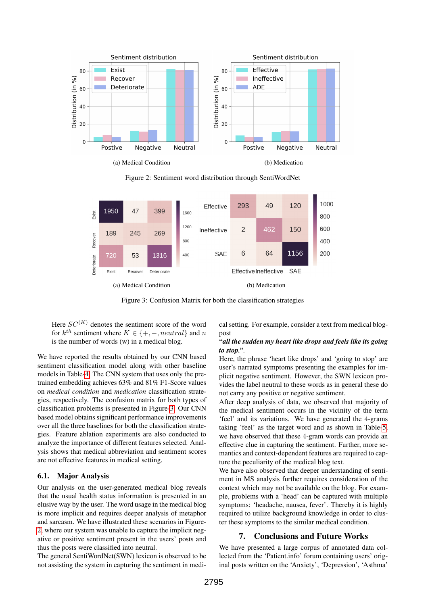<span id="page-5-1"></span>

Figure 2: Sentiment word distribution through SentiWordNet

<span id="page-5-0"></span>

Figure 3: Confusion Matrix for both the classification strategies

Here  $SC^{(K)}$  denotes the sentiment score of the word for  $k^{th}$  sentiment where  $K \in \{+, -, neutral\}$  and n is the number of words (w) in a medical blog.

We have reported the results obtained by our CNN based sentiment classification model along with other baseline models in Table[-4.](#page-4-3) The CNN system that uses only the pretrained embedding achieves 63% and 81% F1-Score values on *medical condition* and *medication* classification strategies, respectively. The confusion matrix for both types of classification problems is presented in Figure[-3.](#page-5-0) Our CNN based model obtains significant performance improvements over all the three baselines for both the classification strategies. Feature ablation experiments are also conducted to analyze the importance of different features selected. Analysis shows that medical abbreviation and sentiment scores are not effective features in medical setting.

#### 6.1. Major Analysis

Our analysis on the user-generated medical blog reveals that the usual health status information is presented in an elusive way by the user. The word usage in the medical blog is more implicit and requires deeper analysis of metaphor and sarcasm. We have illustrated these scenarios in Figure-[2,](#page-5-1) where our system was unable to capture the implicit negative or positive sentiment present in the users' posts and thus the posts were classified into neutral.

The general SentiWordNet(SWN) lexicon is observed to be not assisting the system in capturing the sentiment in medical setting. For example, consider a text from medical blogpost

### *"all the sudden my heart like drops and feels like its going to stop."*.

Here, the phrase 'heart like drops' and 'going to stop' are user's narrated symptoms presenting the examples for implicit negative sentiment. However, the SWN lexicon provides the label neutral to these words as in general these do not carry any positive or negative sentiment.

After deep analysis of data, we observed that majority of the medical sentiment occurs in the vicinity of the term 'feel' and its variations. We have generated the 4-grams taking 'feel' as the target word and as shown in Table[-5,](#page-4-4) we have observed that these 4-gram words can provide an effective clue in capturing the sentiment. Further, more semantics and context-dependent features are required to capture the peculiarity of the medical blog text.

We have also observed that deeper understanding of sentiment in MS analysis further requires consideration of the context which may not be available on the blog. For example, problems with a 'head' can be captured with multiple symptoms: 'headache, nausea, fever'. Thereby it is highly required to utilize background knowledge in order to cluster these symptoms to the similar medical condition.

### 7. Conclusions and Future Works

We have presented a large corpus of annotated data collected from the 'Patient.info' forum containing users' original posts written on the 'Anxiety', 'Depression', 'Asthma'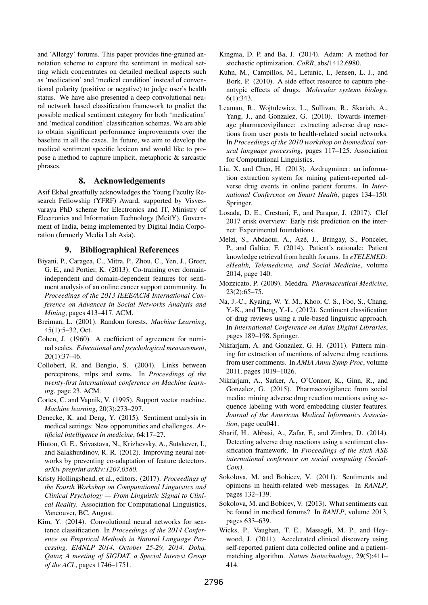and 'Allergy' forums. This paper provides fine-grained annotation scheme to capture the sentiment in medical setting which concentrates on detailed medical aspects such as 'medication' and 'medical condition' instead of conventional polarity (positive or negative) to judge user's health status. We have also presented a deep convolutional neural network based classification framework to predict the possible medical sentiment category for both 'medication' and 'medical condition' classification schemas. We are able to obtain significant performance improvements over the baseline in all the cases. In future, we aim to develop the medical sentiment specific lexicon and would like to propose a method to capture implicit, metaphoric & sarcastic phrases.

## 8. Acknowledgements

Asif Ekbal greatfully acknowledges the Young Faculty Research Fellowship (YFRF) Award, supported by Visvesvaraya PhD scheme for Electronics and IT, Ministry of Electronics and Information Technology (MeitY), Government of India, being implemented by Digital India Corporation (formerly Media Lab Asia).

### 9. Bibliographical References

- <span id="page-6-4"></span>Biyani, P., Caragea, C., Mitra, P., Zhou, C., Yen, J., Greer, G. E., and Portier, K. (2013). Co-training over domainindependent and domain-dependent features for sentiment analysis of an online cancer support community. In *Proceedings of the 2013 IEEE/ACM International Conference on Advances in Social Networks Analysis and Mining*, pages 413–417. ACM.
- <span id="page-6-21"></span>Breiman, L. (2001). Random forests. *Machine Learning*, 45(1):5–32, Oct.
- <span id="page-6-16"></span>Cohen, J. (1960). A coefficient of agreement for nominal scales. *Educational and psychological measurement*, 20(1):37–46.
- <span id="page-6-22"></span>Collobert, R. and Bengio, S. (2004). Links between perceptrons, mlps and svms. In *Proceedings of the twenty-first international conference on Machine learning*, page 23. ACM.
- <span id="page-6-20"></span>Cortes, C. and Vapnik, V. (1995). Support vector machine. *Machine learning*, 20(3):273–297.
- <span id="page-6-0"></span>Denecke, K. and Deng, Y. (2015). Sentiment analysis in medical settings: New opportunities and challenges. *Artificial intelligence in medicine*, 64:17–27.
- <span id="page-6-19"></span>Hinton, G. E., Srivastava, N., Krizhevsky, A., Sutskever, I., and Salakhutdinov, R. R. (2012). Improving neural networks by preventing co-adaptation of feature detectors. *arXiv preprint arXiv:1207.0580*.
- <span id="page-6-2"></span>Kristy Hollingshead, et al., editors. (2017). *Proceedings of the Fourth Workshop on Computational Linguistics and Clinical Psychology — From Linguistic Signal to Clinical Reality*. Association for Computational Linguistics, Vancouver, BC, August.
- <span id="page-6-17"></span>Kim, Y. (2014). Convolutional neural networks for sentence classification. In *Proceedings of the 2014 Conference on Empirical Methods in Natural Language Processing, EMNLP 2014, October 25-29, 2014, Doha, Qatar, A meeting of SIGDAT, a Special Interest Group of the ACL*, pages 1746–1751.
- <span id="page-6-18"></span>Kingma, D. P. and Ba, J. (2014). Adam: A method for stochastic optimization. *CoRR*, abs/1412.6980.
- <span id="page-6-10"></span>Kuhn, M., Campillos, M., Letunic, I., Jensen, L. J., and Bork, P. (2010). A side effect resource to capture phenotypic effects of drugs. *Molecular systems biology*, 6(1):343.
- <span id="page-6-5"></span>Leaman, R., Wojtulewicz, L., Sullivan, R., Skariah, A., Yang, J., and Gonzalez, G. (2010). Towards internetage pharmacovigilance: extracting adverse drug reactions from user posts to health-related social networks. In *Proceedings of the 2010 workshop on biomedical natural language processing*, pages 117–125. Association for Computational Linguistics.
- <span id="page-6-7"></span>Liu, X. and Chen, H. (2013). Azdrugminer: an information extraction system for mining patient-reported adverse drug events in online patient forums. In *International Conference on Smart Health*, pages 134–150. Springer.
- <span id="page-6-1"></span>Losada, D. E., Crestani, F., and Parapar, J. (2017). Clef 2017 erisk overview: Early risk prediction on the internet: Experimental foundations.
- <span id="page-6-15"></span>Melzi, S., Abdaoui, A., Azé, J., Bringay, S., Poncelet, P., and Galtier, F. (2014). Patient's rationale: Patient knowledge retrieval from health forums. In *eTELEMED: eHealth, Telemedicine, and Social Medicine*, volume 2014, page 140.
- <span id="page-6-11"></span>Mozzicato, P. (2009). Meddra. *Pharmaceutical Medicine*, 23(2):65–75.
- <span id="page-6-12"></span>Na, J.-C., Kyaing, W. Y. M., Khoo, C. S., Foo, S., Chang, Y.-K., and Theng, Y.-L. (2012). Sentiment classification of drug reviews using a rule-based linguistic approach. In *International Conference on Asian Digital Libraries*, pages 189–198. Springer.
- <span id="page-6-6"></span>Nikfarjam, A. and Gonzalez, G. H. (2011). Pattern mining for extraction of mentions of adverse drug reactions from user comments. In *AMIA Annu Symp Proc*, volume 2011, pages 1019–1026.
- <span id="page-6-9"></span>Nikfarjam, A., Sarker, A., O'Connor, K., Ginn, R., and Gonzalez, G. (2015). Pharmacovigilance from social media: mining adverse drug reaction mentions using sequence labeling with word embedding cluster features. *Journal of the American Medical Informatics Association*, page ocu041.
- <span id="page-6-13"></span>Sharif, H., Abbasi, A., Zafar, F., and Zimbra, D. (2014). Detecting adverse drug reactions using a sentiment classification framework. In *Proceedings of the sixth ASE international conference on social computing (Social-Com)*.
- <span id="page-6-3"></span>Sokolova, M. and Bobicev, V. (2011). Sentiments and opinions in health-related web messages. In *RANLP*, pages 132–139.
- <span id="page-6-14"></span>Sokolova, M. and Bobicev, V. (2013). What sentiments can be found in medical forums? In *RANLP*, volume 2013, pages 633–639.
- <span id="page-6-8"></span>Wicks, P., Vaughan, T. E., Massagli, M. P., and Heywood, J. (2011). Accelerated clinical discovery using self-reported patient data collected online and a patientmatching algorithm. *Nature biotechnology*, 29(5):411– 414.